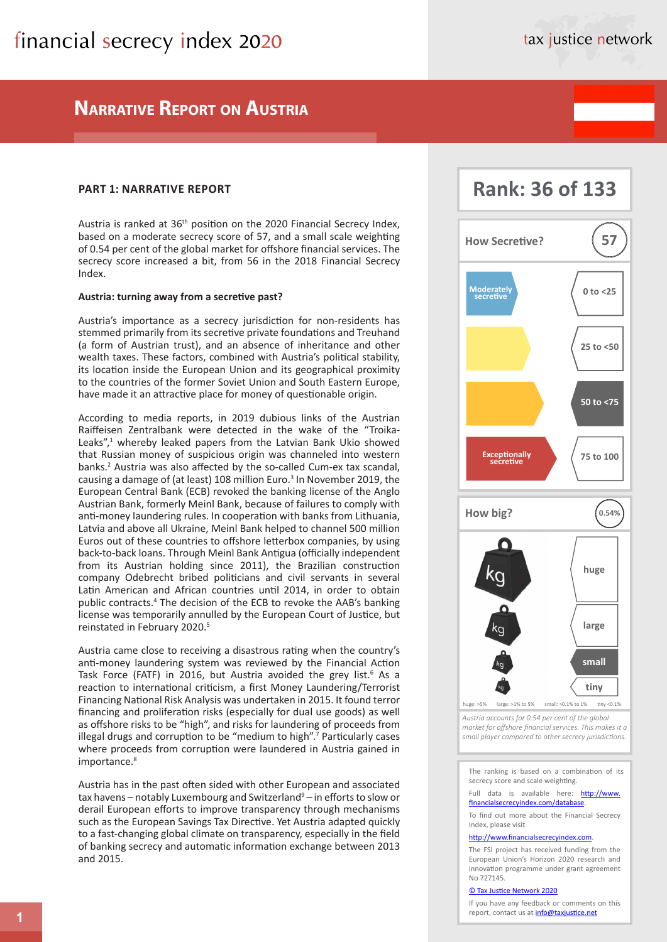## **Narrative Report on Austria**

## **PART 1: NARRATIVE REPORT**

Austria is ranked at 36<sup>th</sup> position on the 2020 Financial Secrecy Index, based on a moderate secrecy score of 57, and a small scale weighting of 0.54 per cent of the global market for offshore financial services. The secrecy score increased a bit, from 56 in the 2018 Financial Secrecy Index.

### **Austria: turning away from a secretive past?**

Austria's importance as a secrecy jurisdiction for non-residents has stemmed primarily from its secretive private foundations and Treuhand (a form of Austrian trust), and an absence of inheritance and other wealth taxes. These factors, combined with Austria's political stability, its location inside the European Union and its geographical proximity to the countries of the former Soviet Union and South Eastern Europe, have made it an attractive place for money of questionable origin.

According to media reports, in 2019 dubious links of the Austrian Raiffeisen Zentralbank were detected in the wake of the "Troika-Leaks",<sup>1</sup> whereby leaked papers from the Latvian Bank Ukio showed that Russian money of suspicious origin was channeled into western banks.2 Austria was also affected by the so-called Cum-ex tax scandal, causing a damage of (at least) 108 million Euro.<sup>3</sup> In November 2019, the European Central Bank (ECB) revoked the banking license of the Anglo Austrian Bank, formerly Meinl Bank, because of failures to comply with anti-money laundering rules. In cooperation with banks from Lithuania, Latvia and above all Ukraine, Meinl Bank helped to channel 500 million Euros out of these countries to offshore letterbox companies, by using back-to-back loans. Through Meinl Bank Antigua (officially independent from its Austrian holding since 2011), the Brazilian construction company Odebrecht bribed politicians and civil servants in several Latin American and African countries until 2014, in order to obtain public contracts.4 The decision of the ECB to revoke the AAB's banking license was temporarily annulled by the European Court of Justice, but reinstated in February 2020.5

Austria came close to receiving a disastrous rating when the country's anti-money laundering system was reviewed by the Financial Action Task Force (FATF) in 2016, but Austria avoided the grey list.<sup>6</sup> As a reaction to international criticism, a first Money Laundering/Terrorist Financing National Risk Analysis was undertaken in 2015. It found terror financing and proliferation risks (especially for dual use goods) as well as offshore risks to be "high", and risks for laundering of proceeds from illegal drugs and corruption to be "medium to high".<sup>7</sup> Particularly cases where proceeds from corruption were laundered in Austria gained in importance.<sup>8</sup>

Austria has in the past often sided with other European and associated tax havens – notably Luxembourg and Switzerland<sup>9</sup> – in efforts to slow or derail European efforts to improve transparency through mechanisms such as the European Savings Tax Directive. Yet Austria adapted quickly to a fast-changing global climate on transparency, especially in the field of banking secrecy and automatic information exchange between 2013 and 2015.



**Rank: 36 of 133** 

*Austria accounts for 0.54 per cent of the global market for offshore financial services. This makes it a small player compared to other secrecy jurisdictions.*

The ranking is based on a combination of its secrecy score and scale weighting.

#### Full data is available here: [http://www.](http://www.financialsecrecyindex.com/database/) [financialsecrecyindex.com/database.](http://www.financialsecrecyindex.com/database/)

To find out more about the Financial Secrecy Index, please visit

#### [http://www.financialsecrecyindex.com](http://www.financialsecrecyindex.com/).

The FSI project has received funding from the European Union's Horizon 2020 research and innovation programme under grant agreement No 727145.

#### [© Tax Justice Network 2020](https://fsi.taxjustice.net/en/introduction/copyright-license)

If you have any feedback or comments on this report, contact us at *[info@taxjustice.net](mailto:info%40taxjustice.net?subject=FSI%202020)*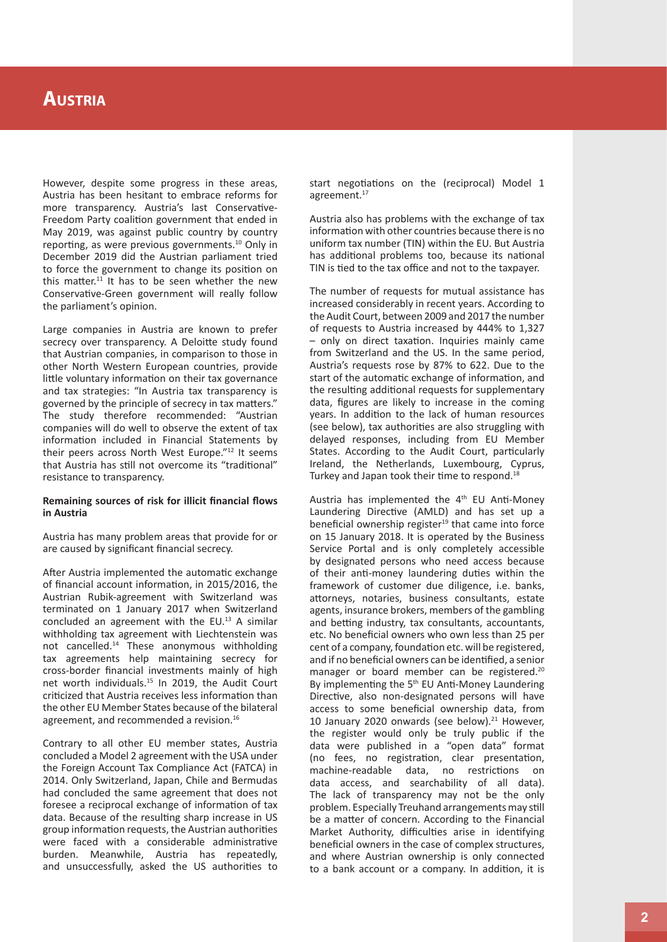#### **Austri a**

However, despite some progress in these areas, Austria has been hesitant to embrace reforms for more transparency. Austria's last Conservative-Freedom Party coalition government that ended in May 2019, was against public country by country reporting, as were previous governments.10 Only in December 2019 did the Austrian parliament tried to force the government to change its position on this matter. $11$  It has to be seen whether the new Conservative-Green government will really follow the parliament's opinion.

Large companies in Austria are known to prefer secrecy over transparency. A Deloitte study found that Austrian companies, in comparison to those in other North Western European countries, provide little voluntary information on their tax governance and tax strategies: "In Austria tax transparency is governed by the principle of secrecy in tax matters." The study therefore recommended: "Austrian companies will do well to observe the extent of tax information included in Financial Statements by their peers across North West Europe."12 It seems that Austria has still not overcome its "traditional" resistance to transparency.

## **Remaining sources of risk for illicit financial flows in Austria**

Austria has many problem areas that provide for or are caused by significant financial secrecy.

After Austria implemented the automatic exchange of financial account information, in 2015/2016, the Austrian Rubik-agreement with Switzerland was terminated on 1 January 2017 when Switzerland concluded an agreement with the  $EU$ .<sup>13</sup> A similar withholding tax agreement with Liechtenstein was not cancelled.14 These anonymous withholding tax agreements help maintaining secrecy for cross-border financial investments mainly of high net worth individuals.15 In 2019, the Audit Court criticized that Austria receives less information than the other EU Member States because of the bilateral agreement, and recommended a revision.<sup>16</sup>

Contrary to all other EU member states, Austria concluded a Model 2 agreement with the USA under the Foreign Account Tax Compliance Act (FATCA) in 2014. Only Switzerland, Japan, Chile and Bermudas had concluded the same agreement that does not foresee a reciprocal exchange of information of tax data. Because of the resulting sharp increase in US group information requests, the Austrian authorities were faced with a considerable administrative burden. Meanwhile, Austria has repeatedly, and unsuccessfully, asked the US authorities to

start negotiations on the (reciprocal) Model 1 agreement.<sup>17</sup>

Austria also has problems with the exchange of tax information with other countries because there is no uniform tax number (TIN) within the EU. But Austria has additional problems too, because its national TIN is tied to the tax office and not to the taxpayer.

The number of requests for mutual assistance has increased considerably in recent years. According to the Audit Court, between 2009 and 2017 the number of requests to Austria increased by 444% to 1,327 – only on direct taxation. Inquiries mainly came from Switzerland and the US. In the same period, Austria's requests rose by 87% to 622. Due to the start of the automatic exchange of information, and the resulting additional requests for supplementary data, figures are likely to increase in the coming years. In addition to the lack of human resources (see below), tax authorities are also struggling with delayed responses, including from EU Member States. According to the Audit Court, particularly Ireland, the Netherlands, Luxembourg, Cyprus, Turkey and Japan took their time to respond.<sup>18</sup>

Austria has implemented the 4<sup>th</sup> EU Anti-Money Laundering Directive (AMLD) and has set up a beneficial ownership register<sup>19</sup> that came into force on 15 January 2018. It is operated by the Business Service Portal and is only completely accessible by designated persons who need access because of their anti-money laundering duties within the framework of customer due diligence, i.e. banks, attorneys, notaries, business consultants, estate agents, insurance brokers, members of the gambling and betting industry, tax consultants, accountants, etc. No beneficial owners who own less than 25 per cent of a company, foundation etc. will be registered, and if no beneficial owners can be identified, a senior manager or board member can be registered.<sup>20</sup> By implementing the  $5<sup>th</sup>$  EU Anti-Money Laundering Directive, also non-designated persons will have access to some beneficial ownership data, from 10 January 2020 onwards (see below).<sup>21</sup> However, the register would only be truly public if the data were published in a "open data" format (no fees, no registration, clear presentation, machine-readable data, no restrictions on data access, and searchability of all data). The lack of transparency may not be the only problem. Especially Treuhand arrangements may still be a matter of concern. According to the Financial Market Authority, difficulties arise in identifying beneficial owners in the case of complex structures, and where Austrian ownership is only connected to a bank account or a company. In addition, it is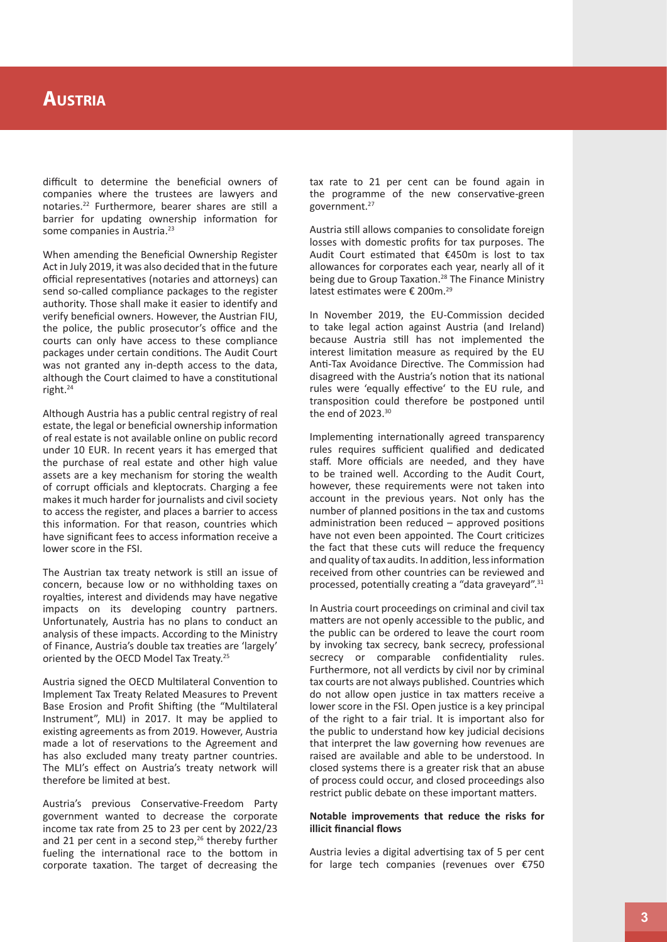difficult to determine the beneficial owners of companies where the trustees are lawyers and notaries.22 Furthermore, bearer shares are still a barrier for updating ownership information for some companies in Austria.<sup>23</sup>

When amending the Beneficial Ownership Register Act in July 2019, it was also decided that in the future official representatives (notaries and attorneys) can send so-called compliance packages to the register authority. Those shall make it easier to identify and verify beneficial owners. However, the Austrian FIU, the police, the public prosecutor's office and the courts can only have access to these compliance packages under certain conditions. The Audit Court was not granted any in-depth access to the data, although the Court claimed to have a constitutional right.24

Although Austria has a public central registry of real estate, the legal or beneficial ownership information of real estate is not available online on public record under 10 EUR. In recent years it has emerged that the purchase of real estate and other high value assets are a key mechanism for storing the wealth of corrupt officials and kleptocrats. Charging a fee makes it much harder for journalists and civil society to access the register, and places a barrier to access this information. For that reason, countries which have significant fees to access information receive a lower score in the FSI.

The Austrian tax treaty network is still an issue of concern, because low or no withholding taxes on royalties, interest and dividends may have negative impacts on its developing country partners. Unfortunately, Austria has no plans to conduct an analysis of these impacts. According to the Ministry of Finance, Austria's double tax treaties are 'largely' oriented by the OECD Model Tax Treaty.25

Austria signed the OECD Multilateral Convention to Implement Tax Treaty Related Measures to Prevent Base Erosion and Profit Shifting (the "Multilateral Instrument", MLI) in 2017. It may be applied to existing agreements as from 2019. However, Austria made a lot of reservations to the Agreement and has also excluded many treaty partner countries. The MLI's effect on Austria's treaty network will therefore be limited at best.

Austria's previous Conservative-Freedom Party government wanted to decrease the corporate income tax rate from 25 to 23 per cent by 2022/23 and 21 per cent in a second step,<sup>26</sup> thereby further fueling the international race to the bottom in corporate taxation. The target of decreasing the tax rate to 21 per cent can be found again in the programme of the new conservative-green government.27

Austria still allows companies to consolidate foreign losses with domestic profits for tax purposes. The Audit Court estimated that €450m is lost to tax allowances for corporates each year, nearly all of it being due to Group Taxation.<sup>28</sup> The Finance Ministry latest estimates were € 200m.29

In November 2019, the EU-Commission decided to take legal action against Austria (and Ireland) because Austria still has not implemented the interest limitation measure as required by the EU Anti-Tax Avoidance Directive. The Commission had disagreed with the Austria's notion that its national rules were 'equally effective' to the EU rule, and transposition could therefore be postponed until the end of 2023.30

Implementing internationally agreed transparency rules requires sufficient qualified and dedicated staff. More officials are needed, and they have to be trained well. According to the Audit Court, however, these requirements were not taken into account in the previous years. Not only has the number of planned positions in the tax and customs administration been reduced – approved positions have not even been appointed. The Court criticizes the fact that these cuts will reduce the frequency and quality of tax audits. In addition, less information received from other countries can be reviewed and processed, potentially creating a "data graveyard".31

In Austria court proceedings on criminal and civil tax matters are not openly accessible to the public, and the public can be ordered to leave the court room by invoking tax secrecy, bank secrecy, professional secrecy or comparable confidentiality rules. Furthermore, not all verdicts by civil nor by criminal tax courts are not always published. Countries which do not allow open justice in tax matters receive a lower score in the FSI. Open justice is a key principal of the right to a fair trial. It is important also for the public to understand how key judicial decisions that interpret the law governing how revenues are raised are available and able to be understood. In closed systems there is a greater risk that an abuse of process could occur, and closed proceedings also restrict public debate on these important matters.

### **Notable improvements that reduce the risks for illicit financial flows**

Austria levies a digital advertising tax of 5 per cent for large tech companies (revenues over €750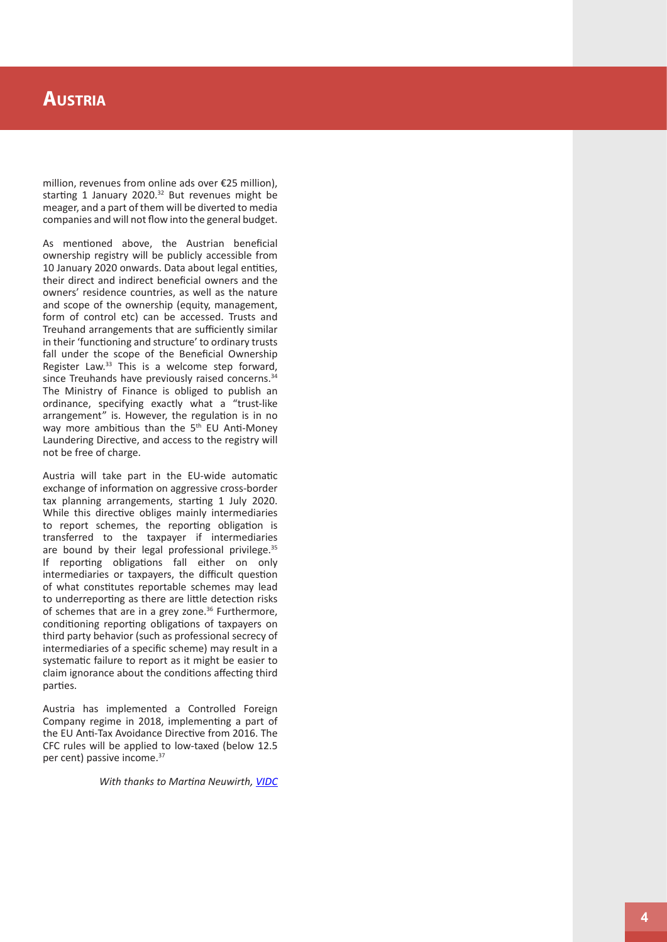#### **Austri a**

million, revenues from online ads over €25 million), starting 1 January 2020.<sup>32</sup> But revenues might be meager, and a part of them will be diverted to media companies and will not flow into the general budget.

As mentioned above, the Austrian beneficial ownership registry will be publicly accessible from 10 January 2020 onwards. Data about legal entities, their direct and indirect beneficial owners and the owners' residence countries, as well as the nature and scope of the ownership (equity, management, form of control etc) can be accessed. Trusts and Treuhand arrangements that are sufficiently similar in their 'functioning and structure' to ordinary trusts fall under the scope of the Beneficial Ownership Register Law.<sup>33</sup> This is a welcome step forward, since Treuhands have previously raised concerns.<sup>34</sup> The Ministry of Finance is obliged to publish an ordinance, specifying exactly what a "trust-like arrangement" is. However, the regulation is in no way more ambitious than the 5<sup>th</sup> EU Anti-Money Laundering Directive, and access to the registry will not be free of charge.

Austria will take part in the EU-wide automatic exchange of information on aggressive cross-border tax planning arrangements, starting 1 July 2020. While this directive obliges mainly intermediaries to report schemes, the reporting obligation is transferred to the taxpayer if intermediaries are bound by their legal professional privilege.<sup>35</sup> If reporting obligations fall either on only intermediaries or taxpayers, the difficult question of what constitutes reportable schemes may lead to underreporting as there are little detection risks of schemes that are in a grey zone.<sup>36</sup> Furthermore, conditioning reporting obligations of taxpayers on third party behavior (such as professional secrecy of intermediaries of a specific scheme) may result in a systematic failure to report as it might be easier to claim ignorance about the conditions affecting third parties.

Austria has implemented a Controlled Foreign Company regime in 2018, implementing a part of the EU Anti-Tax Avoidance Directive from 2016. The CFC rules will be applied to low-taxed (below 12.5 per cent) passive income.<sup>37</sup>

*With thanks to Martina Neuwirth, [VIDC](http://www.vidc.org/menschen/team/neuwirth-martina/)*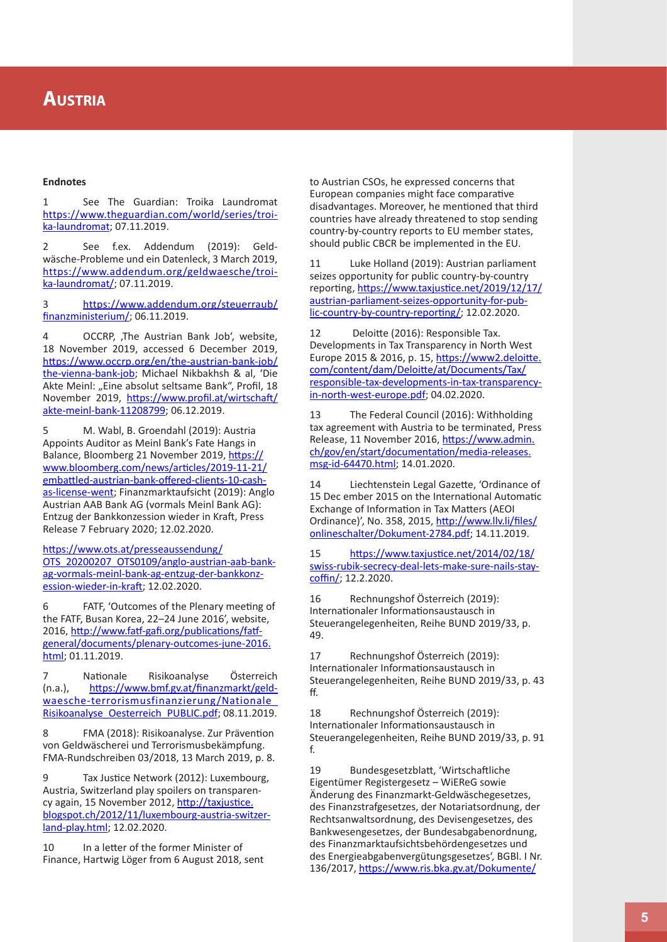#### **Endnotes**

1 See The Guardian: Troika Laundromat [https://www.theguardian.com/world/series/troi](https://www.theguardian.com/world/series/troika-laundromat) [ka-laundromat;](https://www.theguardian.com/world/series/troika-laundromat) 07.11.2019.

2 See f.ex. Addendum (2019): Geld wäsche-Probleme und ein Datenleck, 3 March 2019, [https://www.addendum.org/geldwaesche/troi](https://www.addendum.org/geldwaesche/troika-laundromat/) [ka-laundromat/;](https://www.addendum.org/geldwaesche/troika-laundromat/) 07.11.2019.

3 [https://www.addendum.org/steuerraub/](https://www.addendum.org/steuerraub/finanzministerium/) [finanzministerium/](https://www.addendum.org/steuerraub/finanzministerium/); 06.11.2019.

4 OCCRP, The Austrian Bank Job', website, 18 November 2019, accessed 6 December 2019, [https://www.occrp.org/en/the-austrian-bank-job/](https://www.occrp.org/en/the-austrian-bank-job/the-vienna-bank-job) [the-vienna-bank-job](https://www.occrp.org/en/the-austrian-bank-job/the-vienna-bank-job); Michael Nikbakhsh & al, 'Die Akte Meinl: "Eine absolut seltsame Bank", Profil, 18 November 2019, [https://www.profil.at/wirtschaft/](https://www.profil.at/wirtschaft/akte-meinl-bank-11208799) [akte-meinl-bank-11208799;](https://www.profil.at/wirtschaft/akte-meinl-bank-11208799) 06.12.2019.

5 M. Wabl, B. Groendahl (2019): Austria Appoints Auditor as Meinl Bank's Fate Hangs in Balance, Bloomberg 21 November 2019, [https://](https://www.bloomberg.com/news/articles/2019-11-21/embattled-austrian-bank-offered-clients-10-cash-as-license-went) [www.bloomberg.com/news/articles/2019-11-21/](https://www.bloomberg.com/news/articles/2019-11-21/embattled-austrian-bank-offered-clients-10-cash-as-license-went) [embattled-austrian-bank-offered-clients-10-cash](https://www.bloomberg.com/news/articles/2019-11-21/embattled-austrian-bank-offered-clients-10-cash-as-license-went)[as-license-went](https://www.bloomberg.com/news/articles/2019-11-21/embattled-austrian-bank-offered-clients-10-cash-as-license-went); Finanzmarktaufsicht (2019): Anglo Austrian AAB Bank AG (vormals Meinl Bank AG): Entzug der Bankkonzession wieder in Kraft, Press Release 7 February 2020; 12.02.2020.

[https://www.ots.at/presseaussendung/](https://www.ots.at/presseaussendung/OTS_20200207_OTS0109/anglo-austrian-aab-bank-ag-vormals-meinl-bank-ag-entzug-der-bankkonzession-wieder-in-kraft) [OTS\\_20200207\\_OTS0109/anglo-austrian-aab-bank](https://www.ots.at/presseaussendung/OTS_20200207_OTS0109/anglo-austrian-aab-bank-ag-vormals-meinl-bank-ag-entzug-der-bankkonzession-wieder-in-kraft)[ag-vormals-meinl-bank-ag-entzug-der-bankkonz](https://www.ots.at/presseaussendung/OTS_20200207_OTS0109/anglo-austrian-aab-bank-ag-vormals-meinl-bank-ag-entzug-der-bankkonzession-wieder-in-kraft)[ession-wieder-in-kraft](https://www.ots.at/presseaussendung/OTS_20200207_OTS0109/anglo-austrian-aab-bank-ag-vormals-meinl-bank-ag-entzug-der-bankkonzession-wieder-in-kraft); 12.02.2020.

6 FATF, 'Outcomes of the Plenary meeting of the FATF, Busan Korea, 22–24 June 2016', website, 2016, [http://www.fatf-gafi.org/publications/fatf](http://www.fatf-gafi.org/publications/fatfgeneral/documents/plenary-outcomes-june-2016.html)[general/documents/plenary-outcomes-june-2016.](http://www.fatf-gafi.org/publications/fatfgeneral/documents/plenary-outcomes-june-2016.html) [html](http://www.fatf-gafi.org/publications/fatfgeneral/documents/plenary-outcomes-june-2016.html); 01.11.2019.

7 Nationale Risikoanalyse Österreich (n.a.), [https://www.bmf.gv.at/finanzmarkt/geld](https://www.bmf.gv.at/finanzmarkt/geldwaesche-terrorismusfinanzierung/Nationale_Risikoanalyse_Oesterreich_PUBLIC.pdf)[waesche-terrorismusfinanzierung/Nationale\\_](https://www.bmf.gv.at/finanzmarkt/geldwaesche-terrorismusfinanzierung/Nationale_Risikoanalyse_Oesterreich_PUBLIC.pdf) [Risikoanalyse\\_Oesterreich\\_PUBLIC.pdf](https://www.bmf.gv.at/finanzmarkt/geldwaesche-terrorismusfinanzierung/Nationale_Risikoanalyse_Oesterreich_PUBLIC.pdf); 08.11.2019.

8 FMA (2018): Risikoanalyse. Zur Prävention von Geldwäscherei und Terrorismusbekämpfung. FMA-Rundschreiben 03/2018, 13 March 2019, p. 8.

9 Tax Justice Network (2012): Luxembourg, Austria, Switzerland play spoilers on transparen cy again, 15 November 2012, [http://taxjustice.](http://taxjustice.blogspot.ch/2012/11/luxembourg-austria-switzerland-play.html) [blogspot.ch/2012/11/luxembourg-austria-switzer](http://taxjustice.blogspot.ch/2012/11/luxembourg-austria-switzerland-play.html) [land-play.html](http://taxjustice.blogspot.ch/2012/11/luxembourg-austria-switzerland-play.html); 12.02.2020.

10 In a letter of the former Minister of Finance, Hartwig Löger from 6 August 2018, sent to Austrian CSOs, he expressed concerns that European companies might face comparative disadvantages. Moreover, he mentioned that third countries have already threatened to stop sending country-by-country reports to EU member states, should public CBCR be implemented in the EU.

11 Luke Holland (2019): Austrian parliament seizes opportunity for public country-by-country reporting, [https://www.taxjustice.net/2019/12/17/](https://www.taxjustice.net/2019/12/17/austrian-parliament-seizes-opportunity-for-public-country-by-country-reporting/) [austrian-parliament-seizes-opportunity-for-pub](https://www.taxjustice.net/2019/12/17/austrian-parliament-seizes-opportunity-for-public-country-by-country-reporting/) [lic-country-by-country-reporting/](https://www.taxjustice.net/2019/12/17/austrian-parliament-seizes-opportunity-for-public-country-by-country-reporting/); 12.02.2020.

12 Deloitte (2016): Responsible Tax. Developments in Tax Transparency in North West Europe 2015 & 2016, p. 15, [https://www2.deloitte.](https://www2.deloitte.com/content/dam/Deloitte/at/Documents/Tax/responsible-tax-developments-in-tax-transparency-in-north-west-europe.pdf) [com/content/dam/Deloitte/at/Documents/Tax/](https://www2.deloitte.com/content/dam/Deloitte/at/Documents/Tax/responsible-tax-developments-in-tax-transparency-in-north-west-europe.pdf) [responsible-tax-developments-in-tax-transparency](https://www2.deloitte.com/content/dam/Deloitte/at/Documents/Tax/responsible-tax-developments-in-tax-transparency-in-north-west-europe.pdf)[in-north-west-europe.pdf;](https://www2.deloitte.com/content/dam/Deloitte/at/Documents/Tax/responsible-tax-developments-in-tax-transparency-in-north-west-europe.pdf) 04.02.2020.

13 The Federal Council (2016): Withholding tax agreement with Austria to be terminated, Press Release, 11 November 2016, [https://www.admin.](https://www.admin.ch/gov/en/start/documentation/media-releases.msg-id-64470.html) [ch/gov/en/start/documentation/media-releases.](https://www.admin.ch/gov/en/start/documentation/media-releases.msg-id-64470.html) [msg-id-64470.html](https://www.admin.ch/gov/en/start/documentation/media-releases.msg-id-64470.html); 14.01.2020.

14 Liechtenstein Legal Gazette, 'Ordinance of 15 Dec ember 2015 on the International Automatic Exchange of Information in Tax Matters (AEOI Ordinance)', No. 358, 2015, [http://www.llv.li/files/](http://www.llv.li/files/onlineschalter/Dokument-2784.pdf) [onlineschalter/Dokument-2784.pdf;](http://www.llv.li/files/onlineschalter/Dokument-2784.pdf) 14.11.2019.

15 [https://www.taxjustice.net/2014/02/18/](https://www.taxjustice.net/2014/02/18/swiss-rubik-secrecy-deal-lets-make-sure-nails-stay-coffin/) [swiss-rubik-secrecy-deal-lets-make-sure-nails-stay](https://www.taxjustice.net/2014/02/18/swiss-rubik-secrecy-deal-lets-make-sure-nails-stay-coffin/)[coffin/](https://www.taxjustice.net/2014/02/18/swiss-rubik-secrecy-deal-lets-make-sure-nails-stay-coffin/); 12.2.2020.

16 Rechnungshof Österreich (2019): Internationaler Informationsaustausch in Steuerangelegenheiten, Reihe BUND 2019/33, p. 49.

17 Rechnungshof Österreich (2019): Internationaler Informationsaustausch in Steuerangelegenheiten, Reihe BUND 2019/33, p. 43 ff.

18 Rechnungshof Österreich (2019): Internationaler Informationsaustausch in Steuerangelegenheiten, Reihe BUND 2019/33, p. 91 f.

19 Bundesgesetzblatt, 'Wirtschaftliche Eigentümer Registergesetz – WiEReG sowie Änderung des Finanzmarkt-Geldwäschegesetzes, des Finanzstrafgesetzes, der Notariatsordnung, der Rechtsanwaltsordnung, des Devisengesetzes, des Bankwesengesetzes, der Bundesabgabenordnung, des Finanzmarktaufsichtsbehördengesetzes und des Energieabgabenvergütungsgesetzes', BGBl. I Nr. 136/2017, [https://www.ris.bka.gv.at/Dokumente/](https://www.ris.bka.gv.at/Dokumente/BgblAuth/BGBLA_2017_I_136/BGBLA_2017_I_136.html)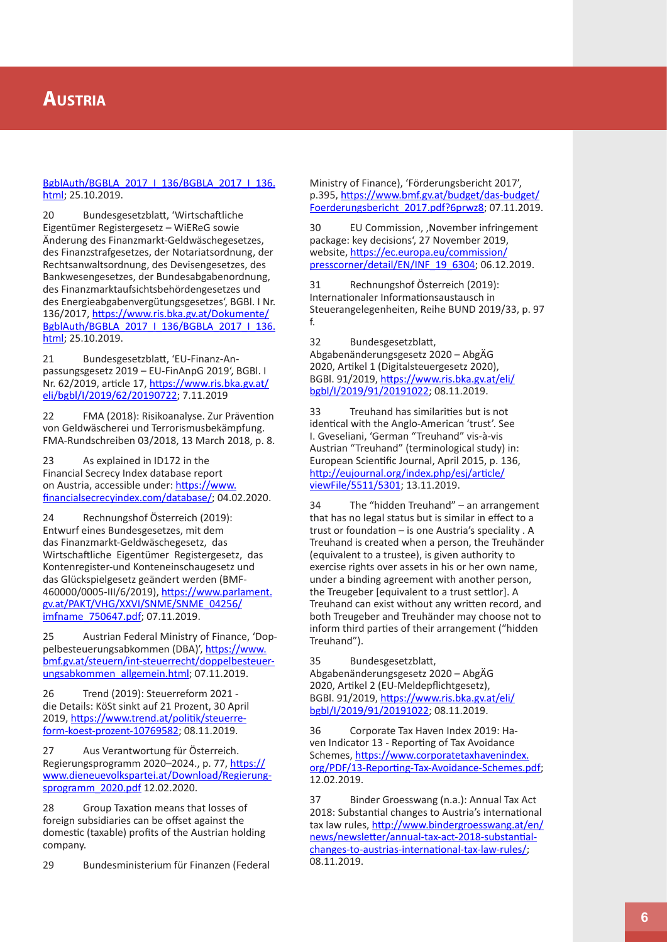## [BgblAuth/BGBLA\\_2017\\_I\\_136/BGBLA\\_2017\\_I\\_136.](https://www.ris.bka.gv.at/Dokumente/BgblAuth/BGBLA_2017_I_136/BGBLA_2017_I_136.html) [html](https://www.ris.bka.gv.at/Dokumente/BgblAuth/BGBLA_2017_I_136/BGBLA_2017_I_136.html); 25.10.2019.

20 Bundesgesetzblatt, 'Wirtschaftliche Eigentümer Registergesetz – WiEReG sowie Änderung des Finanzmarkt-Geldwäschegesetzes, des Finanzstrafgesetzes, der Notariatsordnung, der Rechtsanwaltsordnung, des Devisengesetzes, des Bankwesengesetzes, der Bundesabgabenordnung, des Finanzmarktaufsichtsbehördengesetzes und des Energieabgabenvergütungsgesetzes', BGBl. I Nr. 136/2017, [https://www.ris.bka.gv.at/Dokumente/](https://www.ris.bka.gv.at/Dokumente/BgblAuth/BGBLA_2017_I_136/BGBLA_2017_I_136.html) [BgblAuth/BGBLA\\_2017\\_I\\_136/BGBLA\\_2017\\_I\\_136.](https://www.ris.bka.gv.at/Dokumente/BgblAuth/BGBLA_2017_I_136/BGBLA_2017_I_136.html) [html](https://www.ris.bka.gv.at/Dokumente/BgblAuth/BGBLA_2017_I_136/BGBLA_2017_I_136.html); 25.10.2019.

21 Bundesgesetzblatt, 'EU-Finanz-An passungsgesetz 2019 – EU-FinAnpG 2019', BGBl. I Nr. 62/2019, article 17, [https://www.ris.bka.gv.at/](https://www.ris.bka.gv.at/eli/bgbl/I/2019/62/20190722) [eli/bgbl/I/2019/62/20190722](https://www.ris.bka.gv.at/eli/bgbl/I/2019/62/20190722); 7.11.2019

22 FMA (2018): Risikoanalyse. Zur Prävention von Geldwäscherei und Terrorismusbekämpfung. FMA-Rundschreiben 03/2018, 13 March 2018, p. 8.

23 As explained in ID172 in the Financial Secrecy Index database report on Austria, accessible under: [https://www.](https://www.financialsecrecyindex.com/database/) [financialsecrecyindex.com/database/](https://www.financialsecrecyindex.com/database/) ; 04.02.2020.

24 Rechnungshof Österreich (2019): Entwurf eines Bundesgesetzes, mit dem das Finanzmarkt-Geldwäschegesetz, das Wirtschaftliche Eigentümer Registergesetz, das Kontenregister-und Konteneinschaugesetz und das Glückspielgesetz geändert werden (BMF-460000/0005-III/6/2019), [https://www.parlament.](https://www.parlament.gv.at/PAKT/VHG/XXVI/SNME/SNME_04256/imfname_750647.pdf;%20) [gv.at/PAKT/VHG/XXVI/SNME/SNME\\_04256/](https://www.parlament.gv.at/PAKT/VHG/XXVI/SNME/SNME_04256/imfname_750647.pdf;%20) [imfname\\_750647.pdf;](https://www.parlament.gv.at/PAKT/VHG/XXVI/SNME/SNME_04256/imfname_750647.pdf;%20) 07.11.2019.

25 Austrian Federal Ministry of Finance, 'Dop pelbesteuerungsabkommen (DBA)', [https://www.](https://www.bmf.gv.at/themen/steuern/internationales-steuerrecht/doppelbesteuerungsabkommen.html) [bmf.gv.at/steuern/int-steuerrecht/doppelbesteuer](https://www.bmf.gv.at/themen/steuern/internationales-steuerrecht/doppelbesteuerungsabkommen.html) [ungsabkommen\\_allgemein.html;](https://www.bmf.gv.at/themen/steuern/internationales-steuerrecht/doppelbesteuerungsabkommen.html) 07.11.2019.

26 Trend (2019): Steuerreform 2021 die Details: KöSt sinkt auf 21 Prozent, 30 April 2019, [https://www.trend.at/politik/steuerre](https://www.trend.at/politik/steuerreform-koest-prozent-10769582)[form-koest-prozent-10769582](https://www.trend.at/politik/steuerreform-koest-prozent-10769582); 08.11.2019.

27 Aus Verantwortung für Österreich. Regierungsprogramm 2020–2024., p. 77, [https://](https://www.dieneuevolkspartei.at/Download/Regierungsprogramm_2020.pdf) [www.dieneuevolkspartei.at/Download/Regierung](https://www.dieneuevolkspartei.at/Download/Regierungsprogramm_2020.pdf) [sprogramm\\_2020.pdf](https://www.dieneuevolkspartei.at/Download/Regierungsprogramm_2020.pdf) 12.02.2020.

28 Group Taxation means that losses of foreign subsidiaries can be offset against the domestic (taxable) profits of the Austrian holding company.

29 Bundesministerium für Finanzen (Federal

Ministry of Finance), 'Förderungsbericht 2017', p.395, [https://www.bmf.gv.at/budget/das-budget/](https://www.bmf.gv.at/budget/das-budget/Foerderungsbericht_2017.pdf?6prwz8) [Foerderungsbericht\\_2017.pdf?6prwz8](https://www.bmf.gv.at/budget/das-budget/Foerderungsbericht_2017.pdf?6prwz8); 07.11.2019.

30 EU Commission, 'November infringement package: key decisions', 27 November 2019, website, [https://ec.europa.eu/commission/](https://ec.europa.eu/commission/presscorner/detail/EN/INF_19_6304) [presscorner/detail/EN/INF\\_19\\_6304](https://ec.europa.eu/commission/presscorner/detail/EN/INF_19_6304); 06.12.2019.

31 Rechnungshof Österreich (2019): Internationaler Informationsaustausch in Steuerangelegenheiten, Reihe BUND 2019/33, p. 97 f.

32 Bundesgesetzblatt, Abgabenänderungsgesetz 2020 – AbgÄG 2020, Artikel 1 (Digitalsteuergesetz 2020), BGBl. 91/2019, [https://www.ris.bka.gv.at/eli/](https://www.ris.bka.gv.at/eli/bgbl/I/2019/91/20191022) [bgbl/I/2019/91/20191022](https://www.ris.bka.gv.at/eli/bgbl/I/2019/91/20191022) ; 08.11.2019.

33 Treuhand has similarities but is not identical with the Anglo-American 'trust'. See I. Gveseliani, 'German "Treuhand" vis-à-vis Austrian "Treuhand" (terminological study) in: European Scientific Journal, April 2015, p. 136, [http://eujournal.org/index.php/esj/article/](http://eujournal.org/index.php/esj/article/viewFile/5511/5301) [viewFile/5511/5301;](http://eujournal.org/index.php/esj/article/viewFile/5511/5301) 13.11.2019.

34 The "hidden Treuhand" – an arrangement that has no legal status but is similar in effect to a trust or foundation – is one Austria's speciality . A Treuhand is created when a person, the Treuhänder (equivalent to a trustee), is given authority to exercise rights over assets in his or her own name, under a binding agreement with another person, the Treugeber [equivalent to a trust settlor]. A Treuhand can exist without any written record, and both Treugeber and Treuhänder may choose not to inform third parties of their arrangement ("hidden Treuhand").

35 Bundesgesetzblatt, Abgabenänderungsgesetz 2020 – AbgÄG 2020, Artikel 2 (EU-Meldepflichtgesetz), BGBl. 91/2019, [https://www.ris.bka.gv.at/eli/](https://www.ris.bka.gv.at/eli/bgbl/I/2019/91/20191022) [bgbl/I/2019/91/20191022](https://www.ris.bka.gv.at/eli/bgbl/I/2019/91/20191022) ; 08.11.2019.

36 Corporate Tax Haven Index 2019: Ha ven Indicator 13 - Reporting of Tax Avoidance Schemes, [https://www.corporatetaxhavenindex.](https://www.corporatetaxhavenindex.org/PDF/13-Reporting-Tax-Avoidance-Schemes.pdf) [org/PDF/13-Reporting-Tax-Avoidance-Schemes.pdf](https://www.corporatetaxhavenindex.org/PDF/13-Reporting-Tax-Avoidance-Schemes.pdf); 12.02.2019.

37 Binder Groesswang (n.a.): Annual Tax Act 2018: Substantial changes to Austria's international tax law rules, [http://www.bindergroesswang.at/en/](http://www.bindergroesswang.at/en/news/newsletter/annual-tax-act-2018-substantial-changes-to-austrias-international-tax-law-rules/) [news/newsletter/annual-tax-act-2018-substantial](http://www.bindergroesswang.at/en/news/newsletter/annual-tax-act-2018-substantial-changes-to-austrias-international-tax-law-rules/)[changes-to-austrias-international-tax-law-rules/](http://www.bindergroesswang.at/en/news/newsletter/annual-tax-act-2018-substantial-changes-to-austrias-international-tax-law-rules/); 08.11.2019.